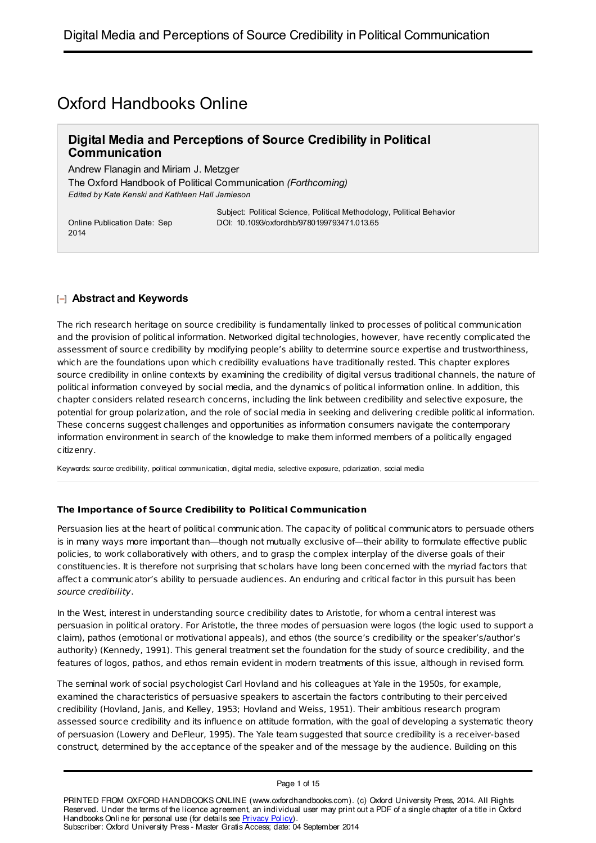# Oxford Handbooks Online

# **Digital Media and Perceptions of Source Credibility in Political Communication**

Andrew Flanagin and Miriam J. Metzger The Oxford Handbook of Political Communication *(Forthcoming) Edited by Kate Kenski and Kathleen Hall Jamieson*

Online Publication Date: Sep 2014

Subject: Political Science, Political Methodology, Political Behavior DOI: 10.1093/oxfordhb/9780199793471.013.65

## **Abstract and Keywords**

The rich research heritage on source credibility is fundamentally linked to processes of political communication and the provision of political information. Networked digital technologies, however, have recently complicated the assessment of source credibility by modifying people's ability to determine source expertise and trustworthiness, which are the foundations upon which credibility evaluations have traditionally rested. This chapter explores source credibility in online contexts by examining the credibility of digital versus traditional channels, the nature of political information conveyed by social media, and the dynamics of political information online. In addition, this chapter considers related research concerns, including the link between credibility and selective exposure, the potential for group polarization, and the role of social media in seeking and delivering credible political information. These concerns suggest challenges and opportunities as information consumers navigate the contemporary information environment in search of the knowledge to make them informed members of a politically engaged citizenry.

Keywords: source credibility, political communication, digital media, selective exposure, polarization, social media

#### **The Importance of Source Credibility to Political Communication**

Persuasion lies at the heart of political communication. The capacity of political communicators to persuade others is in many ways more important than—though not mutually exclusive of—their ability to formulate effective public policies, to work collaboratively with others, and to grasp the complex interplay of the diverse goals of their constituencies. It is therefore not surprising that scholars have long been concerned with the myriad factors that affect a communicator's ability to persuade audiences. An enduring and critical factor in this pursuit has been source credibility.

In the West, interest in understanding source credibility dates to Aristotle, for whom a central interest was persuasion in political oratory. For Aristotle, the three modes of persuasion were logos (the logic used to support a claim), pathos (emotional or motivational appeals), and ethos (the source's credibility or the speaker's/author's authority) (Kennedy, 1991). This general treatment set the foundation for the study of source credibility, and the features of logos, pathos, and ethos remain evident in modern treatments of this issue, although in revised form.

The seminal work of social psychologist Carl Hovland and his colleagues at Yale in the 1950s, for example, examined the characteristics of persuasive speakers to ascertain the factors contributing to their perceived credibility (Hovland, Janis, and Kelley, 1953; Hovland and Weiss, 1951). Their ambitious research program assessed source credibility and its influence on attitude formation, with the goal of developing a systematic theory of persuasion (Lowery and DeFleur, 1995). The Yale team suggested that source credibility is a receiver-based construct, determined by the acceptance of the speaker and of the message by the audience. Building on this

PRINTED FROM OXFORD HANDBOOKS ONLINE (www.oxfordhandbooks.com). (c) Oxford University Press, 2014. All Rights Reserved. Under the terms of the licence agreement, an individual user may print out a PDF of a single chapter of a title in Oxford Handbooks Online for personal use (for details see Privacy Policy) Subscriber: Oxford University Press - Master Gratis Access; date: 04 September 2014

Page 1 of 15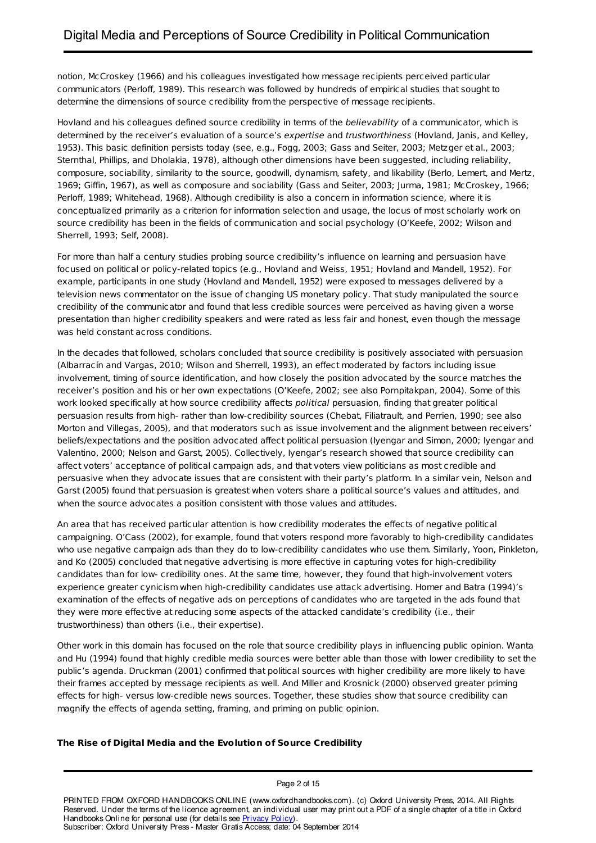notion, McCroskey (1966) and his colleagues investigated how message recipients perceived particular communicators (Perloff, 1989). This research was followed by hundreds of empirical studies that sought to determine the dimensions of source credibility from the perspective of message recipients.

Hovland and his colleagues defined source credibility in terms of the believability of a communicator, which is determined by the receiver's evaluation of a source's expertise and trustworthiness (Hovland, Janis, and Kelley, 1953). This basic definition persists today (see, e.g., Fogg, 2003; Gass and Seiter, 2003; Metzger et al., 2003; Sternthal, Phillips, and Dholakia, 1978), although other dimensions have been suggested, including reliability, composure, sociability, similarity to the source, goodwill, dynamism, safety, and likability (Berlo, Lemert, and Mertz, 1969; Giffin, 1967), as well as composure and sociability (Gass and Seiter, 2003; Jurma, 1981; McCroskey, 1966; Perloff, 1989; Whitehead, 1968). Although credibility is also a concern in information science, where it is conceptualized primarily as a criterion for information selection and usage, the locus of most scholarly work on source credibility has been in the fields of communication and social psychology (O'Keefe, 2002; Wilson and Sherrell, 1993; Self, 2008).

For more than half a century studies probing source credibility's influence on learning and persuasion have focused on political or policy-related topics (e.g., Hovland and Weiss, 1951; Hovland and Mandell, 1952). For example, participants in one study (Hovland and Mandell, 1952) were exposed to messages delivered by a television news commentator on the issue of changing US monetary policy. That study manipulated the source credibility of the communicator and found that less credible sources were perceived as having given a worse presentation than higher credibility speakers and were rated as less fair and honest, even though the message was held constant across conditions.

In the decades that followed, scholars concluded that source credibility is positively associated with persuasion (Albarracín and Vargas, 2010; Wilson and Sherrell, 1993), an effect moderated by factors including issue involvement, timing of source identification, and how closely the position advocated by the source matches the receiver's position and his or her own expectations (O'Keefe, 2002; see also Pornpitakpan, 2004). Some of this work looked specifically at how source credibility affects political persuasion, finding that greater political persuasion results from high- rather than low-credibility sources (Chebat, Filiatrault, and Perrien, 1990; see also Morton and Villegas, 2005), and that moderators such as issue involvement and the alignment between receivers' beliefs/expectations and the position advocated affect political persuasion (Iyengar and Simon, 2000; Iyengar and Valentino, 2000; Nelson and Garst, 2005). Collectively, Iyengar's research showed that source credibility can affect voters' acceptance of political campaign ads, and that voters view politicians as most credible and persuasive when they advocate issues that are consistent with their party's platform. In a similar vein, Nelson and Garst (2005) found that persuasion is greatest when voters share a political source's values and attitudes, and when the source advocates a position consistent with those values and attitudes.

An area that has received particular attention is how credibility moderates the effects of negative political campaigning. O'Cass (2002), for example, found that voters respond more favorably to high-credibility candidates who use negative campaign ads than they do to low-credibility candidates who use them. Similarly, Yoon, Pinkleton, and Ko (2005) concluded that negative advertising is more effective in capturing votes for high-credibility candidates than for low- credibility ones. At the same time, however, they found that high-involvement voters experience greater cynicism when high-credibility candidates use attack advertising. Homer and Batra (1994)'s examination of the effects of negative ads on perceptions of candidates who are targeted in the ads found that they were more effective at reducing some aspects of the attacked candidate's credibility (i.e., their trustworthiness) than others (i.e., their expertise).

Other work in this domain has focused on the role that source credibility plays in influencing public opinion. Wanta and Hu (1994) found that highly credible media sources were better able than those with lower credibility to set the public's agenda. Druckman (2001) confirmed that political sources with higher credibility are more likely to have their frames accepted by message recipients as well. And Miller and Krosnick (2000) observed greater priming effects for high- versus low-credible news sources. Together, these studies show that source credibility can magnify the effects of agenda setting, framing, and priming on public opinion.

### **The Rise of Digital Media and the Evolution of Source Credibility**

PRINTED FROM OXFORD HANDBOOKS ONLINE (www.oxfordhandbooks.com). (c) Oxford University Press, 2014. All Rights Reserved. Under the terms of the licence agreement, an individual user may print out a PDF of a single chapter of a title in Oxford Handbooks Online for personal use (for details see Privacy Policy). Subscriber: Oxford University Press - Master Gratis Access; date: 04 September 2014

Page 2 of 15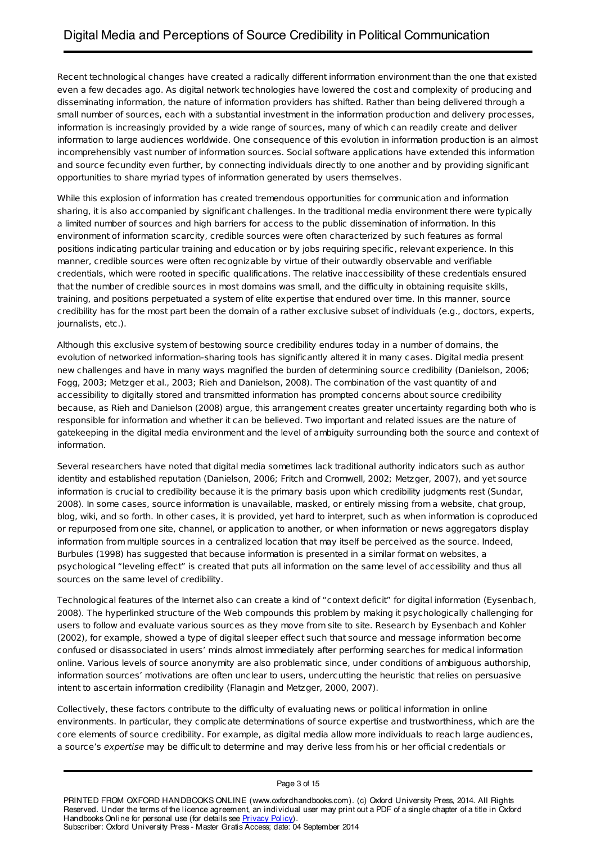Recent technological changes have created a radically different information environment than the one that existed even a few decades ago. As digital network technologies have lowered the cost and complexity of producing and disseminating information, the nature of information providers has shifted. Rather than being delivered through a small number of sources, each with a substantial investment in the information production and delivery processes, information is increasingly provided by a wide range of sources, many of which can readily create and deliver information to large audiences worldwide. One consequence of this evolution in information production is an almost incomprehensibly vast number of information sources. Social software applications have extended this information and source fecundity even further, by connecting individuals directly to one another and by providing significant opportunities to share myriad types of information generated by users themselves.

While this explosion of information has created tremendous opportunities for communication and information sharing, it is also accompanied by significant challenges. In the traditional media environment there were typically a limited number of sources and high barriers for access to the public dissemination of information. In this environment of information scarcity, credible sources were often characterized by such features as formal positions indicating particular training and education or by jobs requiring specific, relevant experience. In this manner, credible sources were often recognizable by virtue of their outwardly observable and verifiable credentials, which were rooted in specific qualifications. The relative inaccessibility of these credentials ensured that the number of credible sources in most domains was small, and the difficulty in obtaining requisite skills, training, and positions perpetuated a system of elite expertise that endured over time. In this manner, source credibility has for the most part been the domain of a rather exclusive subset of individuals (e.g., doctors, experts, journalists, etc.).

Although this exclusive system of bestowing source credibility endures today in a number of domains, the evolution of networked information-sharing tools has significantly altered it in many cases. Digital media present new challenges and have in many ways magnified the burden of determining source credibility (Danielson, 2006; Fogg, 2003; Metzger et al., 2003; Rieh and Danielson, 2008). The combination of the vast quantity of and accessibility to digitally stored and transmitted information has prompted concerns about source credibility because, as Rieh and Danielson (2008) argue, this arrangement creates greater uncertainty regarding both who is responsible for information and whether it can be believed. Two important and related issues are the nature of gatekeeping in the digital media environment and the level of ambiguity surrounding both the source and context of information.

Several researchers have noted that digital media sometimes lack traditional authority indicators such as author identity and established reputation (Danielson, 2006; Fritch and Cromwell, 2002; Metzger, 2007), and yet source information is crucial to credibility because it is the primary basis upon which credibility judgments rest (Sundar, 2008). In some cases, source information is unavailable, masked, or entirely missing from a website, chat group, blog, wiki, and so forth. In other cases, it is provided, yet hard to interpret, such as when information is coproduced or repurposed from one site, channel, or application to another, or when information or news aggregators display information from multiple sources in a centralized location that may itself be perceived as the source. Indeed, Burbules (1998) has suggested that because information is presented in a similar format on websites, a psychological "leveling effect" is created that puts all information on the same level of accessibility and thus all sources on the same level of credibility.

Technological features of the Internet also can create a kind of "context deficit" for digital information (Eysenbach, 2008). The hyperlinked structure of the Web compounds this problem by making it psychologically challenging for users to follow and evaluate various sources as they move from site to site. Research by Eysenbach and Kohler (2002), for example, showed a type of digital sleeper effect such that source and message information become confused or disassociated in users' minds almost immediately after performing searches for medical information online. Various levels of source anonymity are also problematic since, under conditions of ambiguous authorship, information sources' motivations are often unclear to users, undercutting the heuristic that relies on persuasive intent to ascertain information credibility (Flanagin and Metzger, 2000, 2007).

Collectively, these factors contribute to the difficulty of evaluating news or political information in online environments. In particular, they complicate determinations of source expertise and trustworthiness, which are the core elements of source credibility. For example, as digital media allow more individuals to reach large audiences, a source's expertise may be difficult to determine and may derive less from his or her official credentials or

PRINTED FROM OXFORD HANDBOOKS ONLINE (www.oxfordhandbooks.com). (c) Oxford University Press, 2014. All Rights Reserved. Under the terms of the licence agreement, an individual user may print out a PDF of a single chapter of a title in Oxford Handbooks Online for personal use (for details see Privacy Policy). Subscriber: Oxford University Press - Master Gratis Access; date: 04 September 2014

Page 3 of 15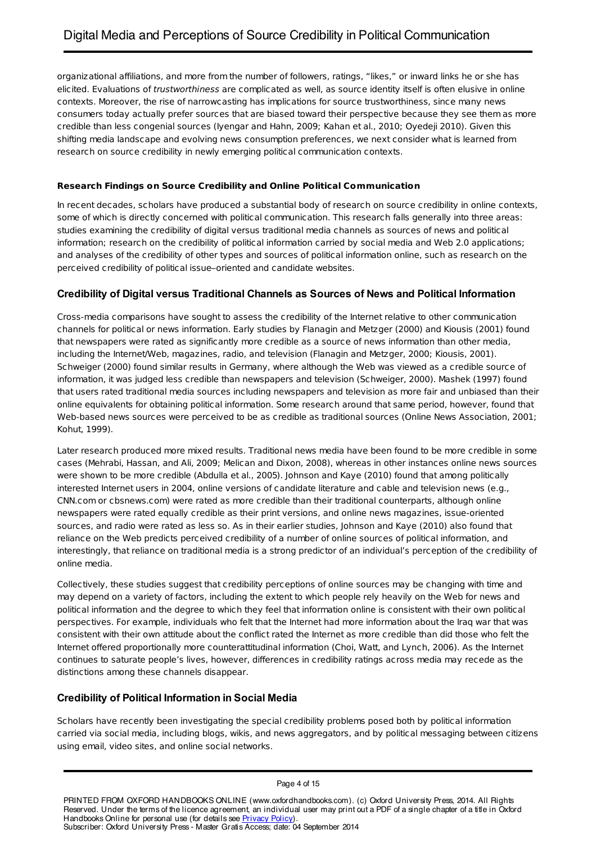organizational affiliations, and more from the number of followers, ratings, "likes," or inward links he or she has elicited. Evaluations of trustworthiness are complicated as well, as source identity itself is often elusive in online contexts. Moreover, the rise of narrowcasting has implications for source trustworthiness, since many news consumers today actually prefer sources that are biased toward their perspective because they see them as more credible than less congenial sources (Iyengar and Hahn, 2009; Kahan et al., 2010; Oyedeji 2010). Given this shifting media landscape and evolving news consumption preferences, we next consider what is learned from research on source credibility in newly emerging political communication contexts.

### **Research Findings on Source Credibility and Online Political Communication**

In recent decades, scholars have produced a substantial body of research on source credibility in online contexts, some of which is directly concerned with political communication. This research falls generally into three areas: studies examining the credibility of digital versus traditional media channels as sources of news and political information; research on the credibility of political information carried by social media and Web 2.0 applications; and analyses of the credibility of other types and sources of political information online, such as research on the perceived credibility of political issue–oriented and candidate websites.

## **Credibility of Digital versus Traditional Channels as Sources of News and Political Information**

Cross-media comparisons have sought to assess the credibility of the Internet relative to other communication channels for political or news information. Early studies by Flanagin and Metzger (2000) and Kiousis (2001) found that newspapers were rated as significantly more credible as a source of news information than other media, including the Internet/Web, magazines, radio, and television (Flanagin and Metzger, 2000; Kiousis, 2001). Schweiger (2000) found similar results in Germany, where although the Web was viewed as a credible source of information, it was judged less credible than newspapers and television (Schweiger, 2000). Mashek (1997) found that users rated traditional media sources including newspapers and television as more fair and unbiased than their online equivalents for obtaining political information. Some research around that same period, however, found that Web-based news sources were perceived to be as credible as traditional sources (Online News Association, 2001; Kohut, 1999).

Later research produced more mixed results. Traditional news media have been found to be more credible in some cases (Mehrabi, Hassan, and Ali, 2009; Melican and Dixon, 2008), whereas in other instances online news sources were shown to be more credible (Abdulla et al., 2005). Johnson and Kaye (2010) found that among politically interested Internet users in 2004, online versions of candidate literature and cable and television news (e.g., CNN.com or cbsnews.com) were rated as more credible than their traditional counterparts, although online newspapers were rated equally credible as their print versions, and online news magazines, issue-oriented sources, and radio were rated as less so. As in their earlier studies, Johnson and Kaye (2010) also found that reliance on the Web predicts perceived credibility of a number of online sources of political information, and interestingly, that reliance on traditional media is a strong predictor of an individual's perception of the credibility of online media.

Collectively, these studies suggest that credibility perceptions of online sources may be changing with time and may depend on a variety of factors, including the extent to which people rely heavily on the Web for news and political information and the degree to which they feel that information online is consistent with their own political perspectives. For example, individuals who felt that the Internet had more information about the Iraq war that was consistent with their own attitude about the conflict rated the Internet as more credible than did those who felt the Internet offered proportionally more counterattitudinal information (Choi, Watt, and Lynch, 2006). As the Internet continues to saturate people's lives, however, differences in credibility ratings across media may recede as the distinctions among these channels disappear.

## **Credibility of Political Information in Social Media**

Scholars have recently been investigating the special credibility problems posed both by political information carried via social media, including blogs, wikis, and news aggregators, and by political messaging between citizens using email, video sites, and online social networks.

PRINTED FROM OXFORD HANDBOOKS ONLINE (www.oxfordhandbooks.com). (c) Oxford University Press, 2014. All Rights Reserved. Under the terms of the licence agreement, an individual user may print out a PDF of a single chapter of a title in Oxford Handbooks Online for personal use (for details see Privacy Policy). Subscriber: Oxford University Press - Master Gratis Access; date: 04 September 2014

Page 4 of 15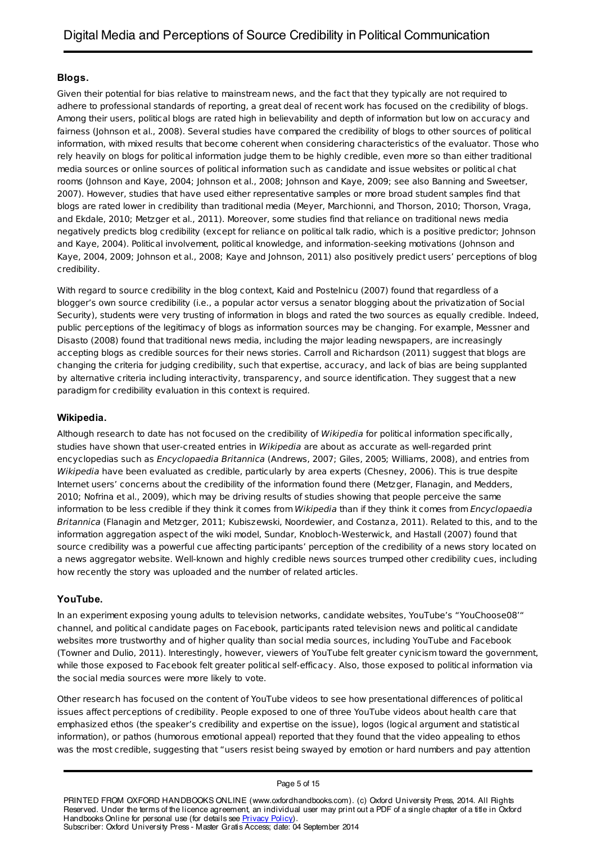## **Blogs.**

Given their potential for bias relative to mainstream news, and the fact that they typically are not required to adhere to professional standards of reporting, a great deal of recent work has focused on the credibility of blogs. Among their users, political blogs are rated high in believability and depth of information but low on accuracy and fairness (Johnson et al., 2008). Several studies have compared the credibility of blogs to other sources of political information, with mixed results that become coherent when considering characteristics of the evaluator. Those who rely heavily on blogs for political information judge them to be highly credible, even more so than either traditional media sources or online sources of political information such as candidate and issue websites or political chat rooms (Johnson and Kaye, 2004; Johnson et al., 2008; Johnson and Kaye, 2009; see also Banning and Sweetser, 2007). However, studies that have used either representative samples or more broad student samples find that blogs are rated lower in credibility than traditional media (Meyer, Marchionni, and Thorson, 2010; Thorson, Vraga, and Ekdale, 2010; Metzger et al., 2011). Moreover, some studies find that reliance on traditional news media negatively predicts blog credibility (except for reliance on political talk radio, which is a positive predictor; Johnson and Kaye, 2004). Political involvement, political knowledge, and information-seeking motivations (Johnson and Kaye, 2004, 2009; Johnson et al., 2008; Kaye and Johnson, 2011) also positively predict users' perceptions of blog credibility.

With regard to source credibility in the blog context, Kaid and Postelnicu (2007) found that regardless of a blogger's own source credibility (i.e., a popular actor versus a senator blogging about the privatization of Social Security), students were very trusting of information in blogs and rated the two sources as equally credible. Indeed, public perceptions of the legitimacy of blogs as information sources may be changing. For example, Messner and Disasto (2008) found that traditional news media, including the major leading newspapers, are increasingly accepting blogs as credible sources for their news stories. Carroll and Richardson (2011) suggest that blogs are changing the criteria for judging credibility, such that expertise, accuracy, and lack of bias are being supplanted by alternative criteria including interactivity, transparency, and source identification. They suggest that a new paradigm for credibility evaluation in this context is required.

### **Wikipedia.**

Although research to date has not focused on the credibility of Wikipedia for political information specifically, studies have shown that user-created entries in Wikipedia are about as accurate as well-regarded print encyclopedias such as Encyclopaedia Britannica (Andrews, 2007; Giles, 2005; Williams, 2008), and entries from Wikipedia have been evaluated as credible, particularly by area experts (Chesney, 2006). This is true despite Internet users' concerns about the credibility of the information found there (Metzger, Flanagin, and Medders, 2010; Nofrina et al., 2009), which may be driving results of studies showing that people perceive the same information to be less credible if they think it comes from Wikipedia than if they think it comes from Encyclopaedia Britannica (Flanagin and Metzger, 2011; Kubiszewski, Noordewier, and Costanza, 2011). Related to this, and to the information aggregation aspect of the wiki model, Sundar, Knobloch-Westerwick, and Hastall (2007) found that source credibility was a powerful cue affecting participants' perception of the credibility of a news story located on a news aggregator website. Well-known and highly credible news sources trumped other credibility cues, including how recently the story was uploaded and the number of related articles.

### **YouTube.**

In an experiment exposing young adults to television networks, candidate websites, YouTube's "YouChoose08'" channel, and political candidate pages on Facebook, participants rated television news and political candidate websites more trustworthy and of higher quality than social media sources, including YouTube and Facebook (Towner and Dulio, 2011). Interestingly, however, viewers of YouTube felt greater cynicism toward the government, while those exposed to Facebook felt greater political self-efficacy. Also, those exposed to political information via the social media sources were more likely to vote.

Other research has focused on the content of YouTube videos to see how presentational differences of political issues affect perceptions of credibility. People exposed to one of three YouTube videos about health care that emphasized ethos (the speaker's credibility and expertise on the issue), logos (logical argument and statistical information), or pathos (humorous emotional appeal) reported that they found that the video appealing to ethos was the most credible, suggesting that "users resist being swayed by emotion or hard numbers and pay attention

PRINTED FROM OXFORD HANDBOOKS ONLINE (www.oxfordhandbooks.com). (c) Oxford University Press, 2014. All Rights Reserved. Under the terms of the licence agreement, an individual user may print out a PDF of a single chapter of a title in Oxford Handbooks Online for personal use (for details see Privacy Policy). Subscriber: Oxford University Press - Master Gratis Access; date: 04 September 2014

Page 5 of 15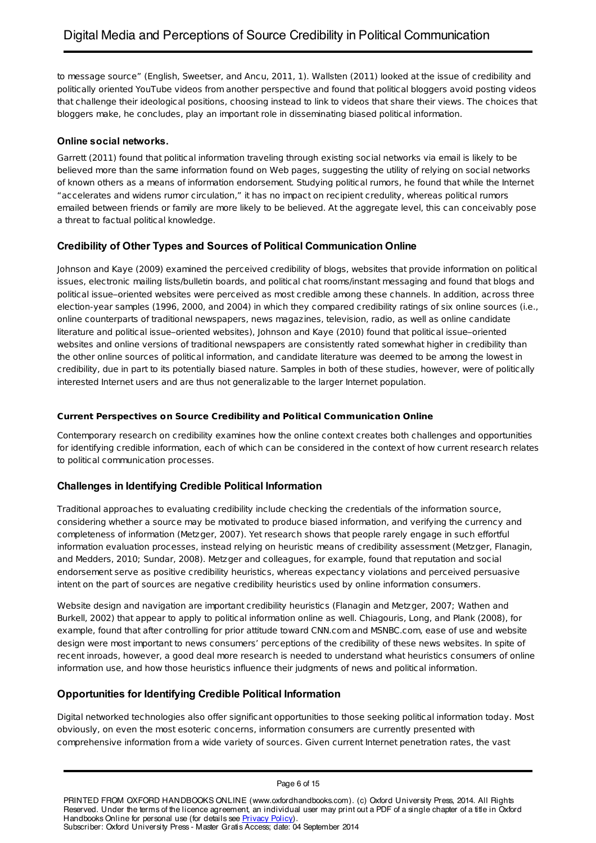to message source" (English, Sweetser, and Ancu, 2011, 1). Wallsten (2011) looked at the issue of credibility and politically oriented YouTube videos from another perspective and found that political bloggers avoid posting videos that challenge their ideological positions, choosing instead to link to videos that share their views. The choices that bloggers make, he concludes, play an important role in disseminating biased political information.

### **Online social networks.**

Garrett (2011) found that political information traveling through existing social networks via email is likely to be believed more than the same information found on Web pages, suggesting the utility of relying on social networks of known others as a means of information endorsement. Studying political rumors, he found that while the Internet "accelerates and widens rumor circulation," it has no impact on recipient credulity, whereas political rumors emailed between friends or family are more likely to be believed. At the aggregate level, this can conceivably pose a threat to factual political knowledge.

## **Credibility of Other Types and Sources of Political Communication Online**

Johnson and Kaye (2009) examined the perceived credibility of blogs, websites that provide information on political issues, electronic mailing lists/bulletin boards, and political chat rooms/instant messaging and found that blogs and political issue–oriented websites were perceived as most credible among these channels. In addition, across three election-year samples (1996, 2000, and 2004) in which they compared credibility ratings of six online sources (i.e., online counterparts of traditional newspapers, news magazines, television, radio, as well as online candidate literature and political issue–oriented websites), Johnson and Kaye (2010) found that political issue–oriented websites and online versions of traditional newspapers are consistently rated somewhat higher in credibility than the other online sources of political information, and candidate literature was deemed to be among the lowest in credibility, due in part to its potentially biased nature. Samples in both of these studies, however, were of politically interested Internet users and are thus not generalizable to the larger Internet population.

#### **Current Perspectives on Source Credibility and Political Communication Online**

Contemporary research on credibility examines how the online context creates both challenges and opportunities for identifying credible information, each of which can be considered in the context of how current research relates to political communication processes.

### **Challenges in Identifying Credible Political Information**

Traditional approaches to evaluating credibility include checking the credentials of the information source, considering whether a source may be motivated to produce biased information, and verifying the currency and completeness of information (Metzger, 2007). Yet research shows that people rarely engage in such effortful information evaluation processes, instead relying on heuristic means of credibility assessment (Metzger, Flanagin, and Medders, 2010; Sundar, 2008). Metzger and colleagues, for example, found that reputation and social endorsement serve as positive credibility heuristics, whereas expectancy violations and perceived persuasive intent on the part of sources are negative credibility heuristics used by online information consumers.

Website design and navigation are important credibility heuristics (Flanagin and Metzger, 2007; Wathen and Burkell, 2002) that appear to apply to political information online as well. Chiagouris, Long, and Plank (2008), for example, found that after controlling for prior attitude toward CNN.com and MSNBC.com, ease of use and website design were most important to news consumers' perceptions of the credibility of these news websites. In spite of recent inroads, however, a good deal more research is needed to understand what heuristics consumers of online information use, and how those heuristics influence their judgments of news and political information.

## **Opportunities for Identifying Credible Political Information**

Digital networked technologies also offer significant opportunities to those seeking political information today. Most obviously, on even the most esoteric concerns, information consumers are currently presented with comprehensive information from a wide variety of sources. Given current Internet penetration rates, the vast

PRINTED FROM OXFORD HANDBOOKS ONLINE (www.oxfordhandbooks.com). (c) Oxford University Press, 2014. All Rights Reserved. Under the terms of the licence agreement, an individual user may print out a PDF of a single chapter of a title in Oxford Handbooks Online for personal use (for details see Privacy Policy). Subscriber: Oxford University Press - Master Gratis Access; date: 04 September 2014

Page 6 of 15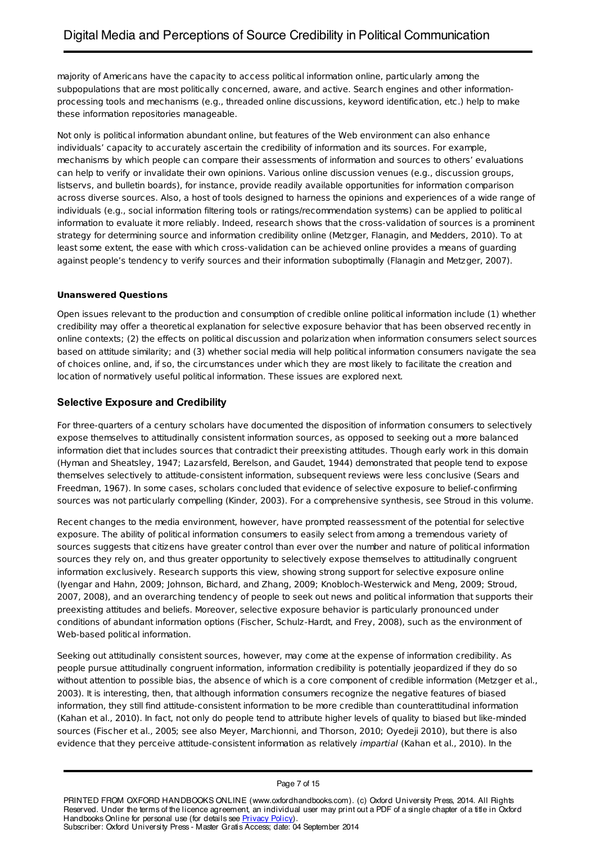majority of Americans have the capacity to access political information online, particularly among the subpopulations that are most politically concerned, aware, and active. Search engines and other informationprocessing tools and mechanisms (e.g., threaded online discussions, keyword identification, etc.) help to make these information repositories manageable.

Not only is political information abundant online, but features of the Web environment can also enhance individuals' capacity to accurately ascertain the credibility of information and its sources. For example, mechanisms by which people can compare their assessments of information and sources to others' evaluations can help to verify or invalidate their own opinions. Various online discussion venues (e.g., discussion groups, listservs, and bulletin boards), for instance, provide readily available opportunities for information comparison across diverse sources. Also, a host of tools designed to harness the opinions and experiences of a wide range of individuals (e.g., social information filtering tools or ratings/recommendation systems) can be applied to political information to evaluate it more reliably. Indeed, research shows that the cross-validation of sources is a prominent strategy for determining source and information credibility online (Metzger, Flanagin, and Medders, 2010). To at least some extent, the ease with which cross-validation can be achieved online provides a means of guarding against people's tendency to verify sources and their information suboptimally (Flanagin and Metzger, 2007).

#### **Unanswered Questions**

Open issues relevant to the production and consumption of credible online political information include (1) whether credibility may offer a theoretical explanation for selective exposure behavior that has been observed recently in online contexts; (2) the effects on political discussion and polarization when information consumers select sources based on attitude similarity; and (3) whether social media will help political information consumers navigate the sea of choices online, and, if so, the circumstances under which they are most likely to facilitate the creation and location of normatively useful political information. These issues are explored next.

### **Selective Exposure and Credibility**

For three-quarters of a century scholars have documented the disposition of information consumers to selectively expose themselves to attitudinally consistent information sources, as opposed to seeking out a more balanced information diet that includes sources that contradict their preexisting attitudes. Though early work in this domain (Hyman and Sheatsley, 1947; Lazarsfeld, Berelson, and Gaudet, 1944) demonstrated that people tend to expose themselves selectively to attitude-consistent information, subsequent reviews were less conclusive (Sears and Freedman, 1967). In some cases, scholars concluded that evidence of selective exposure to belief-confirming sources was not particularly compelling (Kinder, 2003). For a comprehensive synthesis, see Stroud in this volume.

Recent changes to the media environment, however, have prompted reassessment of the potential for selective exposure. The ability of political information consumers to easily select from among a tremendous variety of sources suggests that citizens have greater control than ever over the number and nature of political information sources they rely on, and thus greater opportunity to selectively expose themselves to attitudinally congruent information exclusively. Research supports this view, showing strong support for selective exposure online (Iyengar and Hahn, 2009; Johnson, Bichard, and Zhang, 2009; Knobloch-Westerwick and Meng, 2009; Stroud, 2007, 2008), and an overarching tendency of people to seek out news and political information that supports their preexisting attitudes and beliefs. Moreover, selective exposure behavior is particularly pronounced under conditions of abundant information options (Fischer, Schulz-Hardt, and Frey, 2008), such as the environment of Web-based political information.

Seeking out attitudinally consistent sources, however, may come at the expense of information credibility. As people pursue attitudinally congruent information, information credibility is potentially jeopardized if they do so without attention to possible bias, the absence of which is a core component of credible information (Metzger et al., 2003). It is interesting, then, that although information consumers recognize the negative features of biased information, they still find attitude-consistent information to be more credible than counterattitudinal information (Kahan et al., 2010). In fact, not only do people tend to attribute higher levels of quality to biased but like-minded sources (Fischer et al., 2005; see also Meyer, Marchionni, and Thorson, 2010; Oyedeji 2010), but there is also evidence that they perceive attitude-consistent information as relatively *impartial* (Kahan et al., 2010). In the

PRINTED FROM OXFORD HANDBOOKS ONLINE (www.oxfordhandbooks.com). (c) Oxford University Press, 2014. All Rights Reserved. Under the terms of the licence agreement, an individual user may print out a PDF of a single chapter of a title in Oxford Handbooks Online for personal use (for details see Privacy Policy). Subscriber: Oxford University Press - Master Gratis Access; date: 04 September 2014

Page 7 of 15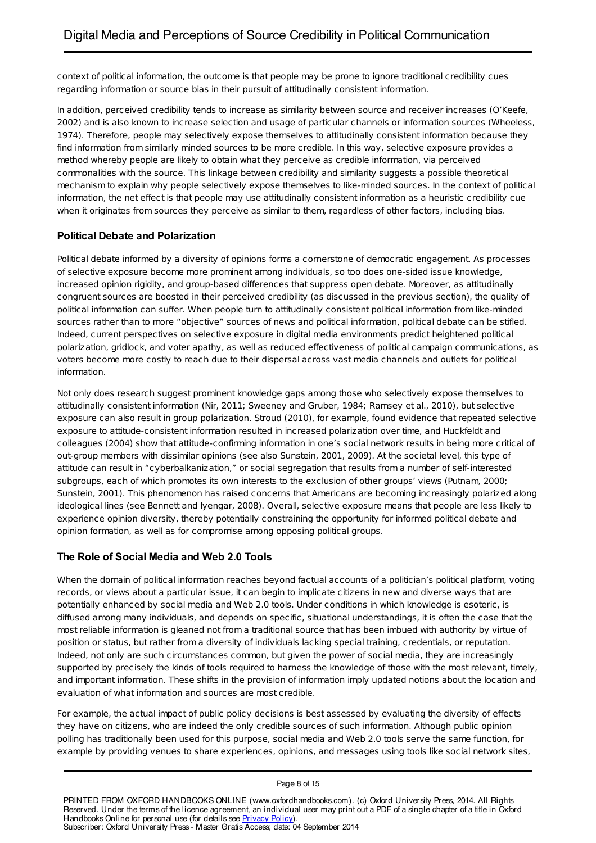context of political information, the outcome is that people may be prone to ignore traditional credibility cues regarding information or source bias in their pursuit of attitudinally consistent information.

In addition, perceived credibility tends to increase as similarity between source and receiver increases (O'Keefe, 2002) and is also known to increase selection and usage of particular channels or information sources (Wheeless, 1974). Therefore, people may selectively expose themselves to attitudinally consistent information because they find information from similarly minded sources to be more credible. In this way, selective exposure provides a method whereby people are likely to obtain what they perceive as credible information, via perceived commonalities with the source. This linkage between credibility and similarity suggests a possible theoretical mechanism to explain why people selectively expose themselves to like-minded sources. In the context of political information, the net effect is that people may use attitudinally consistent information as a heuristic credibility cue when it originates from sources they perceive as similar to them, regardless of other factors, including bias.

## **Political Debate and Polarization**

Political debate informed by a diversity of opinions forms a cornerstone of democratic engagement. As processes of selective exposure become more prominent among individuals, so too does one-sided issue knowledge, increased opinion rigidity, and group-based differences that suppress open debate. Moreover, as attitudinally congruent sources are boosted in their perceived credibility (as discussed in the previous section), the quality of political information can suffer. When people turn to attitudinally consistent political information from like-minded sources rather than to more "objective" sources of news and political information, political debate can be stifled. Indeed, current perspectives on selective exposure in digital media environments predict heightened political polarization, gridlock, and voter apathy, as well as reduced effectiveness of political campaign communications, as voters become more costly to reach due to their dispersal across vast media channels and outlets for political information.

Not only does research suggest prominent knowledge gaps among those who selectively expose themselves to attitudinally consistent information (Nir, 2011; Sweeney and Gruber, 1984; Ramsey et al., 2010), but selective exposure can also result in group polarization. Stroud (2010), for example, found evidence that repeated selective exposure to attitude-consistent information resulted in increased polarization over time, and Huckfeldt and colleagues (2004) show that attitude-confirming information in one's social network results in being more critical of out-group members with dissimilar opinions (see also Sunstein, 2001, 2009). At the societal level, this type of attitude can result in "cyberbalkanization," or social segregation that results from a number of self-interested subgroups, each of which promotes its own interests to the exclusion of other groups' views (Putnam, 2000; Sunstein, 2001). This phenomenon has raised concerns that Americans are becoming increasingly polarized along ideological lines (see Bennett and Iyengar, 2008). Overall, selective exposure means that people are less likely to experience opinion diversity, thereby potentially constraining the opportunity for informed political debate and opinion formation, as well as for compromise among opposing political groups.

## **The Role of Social Media and Web 2.0 Tools**

When the domain of political information reaches beyond factual accounts of a politician's political platform, voting records, or views about a particular issue, it can begin to implicate citizens in new and diverse ways that are potentially enhanced by social media and Web 2.0 tools. Under conditions in which knowledge is esoteric, is diffused among many individuals, and depends on specific, situational understandings, it is often the case that the most reliable information is gleaned not from a traditional source that has been imbued with authority by virtue of position or status, but rather from a diversity of individuals lacking special training, credentials, or reputation. Indeed, not only are such circumstances common, but given the power of social media, they are increasingly supported by precisely the kinds of tools required to harness the knowledge of those with the most relevant, timely, and important information. These shifts in the provision of information imply updated notions about the location and evaluation of what information and sources are most credible.

For example, the actual impact of public policy decisions is best assessed by evaluating the diversity of effects they have on citizens, who are indeed the only credible sources of such information. Although public opinion polling has traditionally been used for this purpose, social media and Web 2.0 tools serve the same function, for example by providing venues to share experiences, opinions, and messages using tools like social network sites,

PRINTED FROM OXFORD HANDBOOKS ONLINE (www.oxfordhandbooks.com). (c) Oxford University Press, 2014. All Rights Reserved. Under the terms of the licence agreement, an individual user may print out a PDF of a single chapter of a title in Oxford Handbooks Online for personal use (for details see Privacy Policy). Subscriber: Oxford University Press - Master Gratis Access; date: 04 September 2014

Page 8 of 15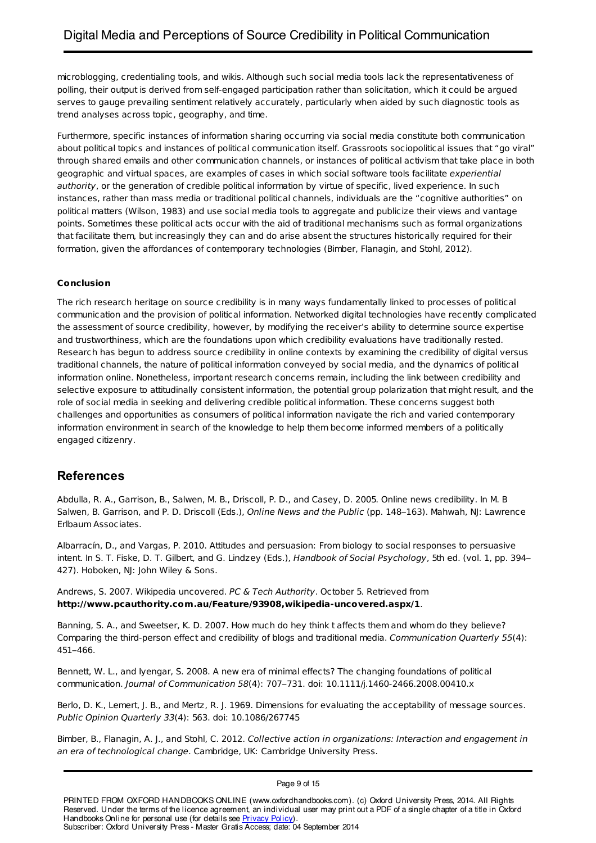microblogging, credentialing tools, and wikis. Although such social media tools lack the representativeness of polling, their output is derived from self-engaged participation rather than solicitation, which it could be argued serves to gauge prevailing sentiment relatively accurately, particularly when aided by such diagnostic tools as trend analyses across topic, geography, and time.

Furthermore, specific instances of information sharing occurring via social media constitute both communication about political topics and instances of political communication itself. Grassroots sociopolitical issues that "go viral" through shared emails and other communication channels, or instances of political activism that take place in both geographic and virtual spaces, are examples of cases in which social software tools facilitate experiential authority, or the generation of credible political information by virtue of specific, lived experience. In such instances, rather than mass media or traditional political channels, individuals are the "cognitive authorities" on political matters (Wilson, 1983) and use social media tools to aggregate and publicize their views and vantage points. Sometimes these political acts occur with the aid of traditional mechanisms such as formal organizations that facilitate them, but increasingly they can and do arise absent the structures historically required for their formation, given the affordances of contemporary technologies (Bimber, Flanagin, and Stohl, 2012).

### **Conclusion**

The rich research heritage on source credibility is in many ways fundamentally linked to processes of political communication and the provision of political information. Networked digital technologies have recently complicated the assessment of source credibility, however, by modifying the receiver's ability to determine source expertise and trustworthiness, which are the foundations upon which credibility evaluations have traditionally rested. Research has begun to address source credibility in online contexts by examining the credibility of digital versus traditional channels, the nature of political information conveyed by social media, and the dynamics of political information online. Nonetheless, important research concerns remain, including the link between credibility and selective exposure to attitudinally consistent information, the potential group polarization that might result, and the role of social media in seeking and delivering credible political information. These concerns suggest both challenges and opportunities as consumers of political information navigate the rich and varied contemporary information environment in search of the knowledge to help them become informed members of a politically engaged citizenry.

## **References**

Abdulla, R. A., Garrison, B., Salwen, M. B., Driscoll, P. D., and Casey, D. 2005. Online news credibility. In M. B Salwen, B. Garrison, and P. D. Driscoll (Eds.), Online News and the Public (pp. 148–163). Mahwah, NJ: Lawrence Erlbaum Associates.

Albarracín, D., and Vargas, P. 2010. Attitudes and persuasion: From biology to social responses to persuasive intent. In S. T. Fiske, D. T. Gilbert, and G. Lindzey (Eds.), Handbook of Social Psychology, 5th ed. (vol. 1, pp. 394– 427). Hoboken, NJ: John Wiley & Sons.

Andrews, S. 2007. Wikipedia uncovered. PC & Tech Authority. October 5. Retrieved from **http://www.pcauthority.com.au/Feature/93908,wikipedia-uncovered.aspx/1**.

Banning, S. A., and Sweetser, K. D. 2007. How much do hey think t affects them and whom do they believe? Comparing the third-person effect and credibility of blogs and traditional media. Communication Quarterly 55(4): 451–466.

Bennett, W. L., and Iyengar, S. 2008. A new era of minimal effects? The changing foundations of political communication. Journal of Communication 58(4): 707–731. doi: 10.1111/j.1460-2466.2008.00410.x

Berlo, D. K., Lemert, J. B., and Mertz, R. J. 1969. Dimensions for evaluating the acceptability of message sources. Public Opinion Quarterly 33(4): 563. doi: 10.1086/267745

Bimber, B., Flanagin, A. J., and Stohl, C. 2012. Collective action in organizations: Interaction and engagement in an era of technological change. Cambridge, UK: Cambridge University Press.

Page 9 of 15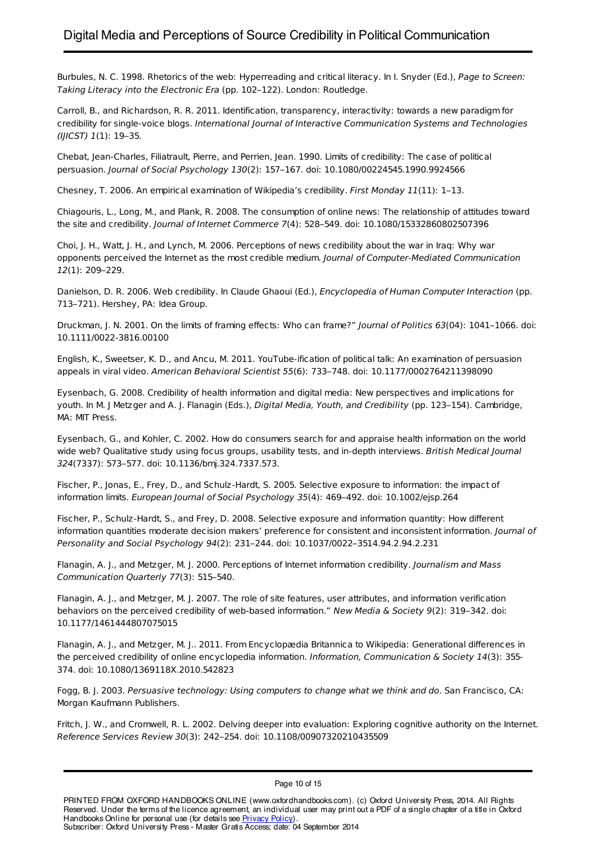Burbules, N. C. 1998. Rhetorics of the web: Hyperreading and critical literacy. In I. Snyder (Ed.), Page to Screen: Taking Literacy into the Electronic Era (pp. 102–122). London: Routledge.

Carroll, B., and Richardson, R. R. 2011. Identification, transparency, interactivity: towards a new paradigm for credibility for single-voice blogs. International Journal of Interactive Communication Systems and Technologies (IJICST) 1(1): 19–35.

Chebat, Jean-Charles, Filiatrault, Pierre, and Perrien, Jean. 1990. Limits of credibility: The case of political persuasion. Journal of Social Psychology 130(2): 157–167. doi: 10.1080/00224545.1990.9924566

Chesney, T. 2006. An empirical examination of Wikipedia's credibility. First Monday 11(11): 1–13.

Chiagouris, L., Long, M., and Plank, R. 2008. The consumption of online news: The relationship of attitudes toward the site and credibility. Journal of Internet Commerce 7(4): 528–549. doi: 10.1080/15332860802507396

Choi, J. H., Watt, J. H., and Lynch, M. 2006. Perceptions of news credibility about the war in Iraq: Why war opponents perceived the Internet as the most credible medium. Journal of Computer-Mediated Communication 12(1): 209–229.

Danielson, D. R. 2006. Web credibility. In Claude Ghaoui (Ed.), Encyclopedia of Human Computer Interaction (pp. 713–721). Hershey, PA: Idea Group.

Druckman, J. N. 2001. On the limits of framing effects: Who can frame?" Journal of Politics 63(04): 1041–1066. doi: 10.1111/0022-3816.00100

English, K., Sweetser, K. D., and Ancu, M. 2011. YouTube-ification of political talk: An examination of persuasion appeals in viral video. American Behavioral Scientist 55(6): 733–748. doi: 10.1177/0002764211398090

Eysenbach, G. 2008. Credibility of health information and digital media: New perspectives and implications for youth. In M. J Metzger and A. J. Flanagin (Eds.), Digital Media, Youth, and Credibility (pp. 123–154). Cambridge, MA: MIT Press.

Eysenbach, G., and Kohler, C. 2002. How do consumers search for and appraise health information on the world wide web? Qualitative study using focus groups, usability tests, and in-depth interviews. British Medical Journal 324(7337): 573–577. doi: 10.1136/bmj.324.7337.573.

Fischer, P., Jonas, E., Frey, D., and Schulz-Hardt, S. 2005. Selective exposure to information: the impact of information limits. European Journal of Social Psychology 35(4): 469–492. doi: 10.1002/ejsp.264

Fischer, P., Schulz-Hardt, S., and Frey, D. 2008. Selective exposure and information quantity: How different information quantities moderate decision makers' preference for consistent and inconsistent information. Journal of Personality and Social Psychology 94(2): 231–244. doi: 10.1037/0022–3514.94.2.94.2.231

Flanagin, A. J., and Metzger, M. J. 2000. Perceptions of Internet information credibility. Journalism and Mass Communication Quarterly 77(3): 515–540.

Flanagin, A. J., and Metzger, M. J. 2007. The role of site features, user attributes, and information verification behaviors on the perceived credibility of web-based information." New Media & Society 9(2): 319-342. doi: 10.1177/1461444807075015

Flanagin, A. J., and Metzger, M. J.. 2011. From Encyclopædia Britannica to Wikipedia: Generational differences in the perceived credibility of online encyclopedia information. Information, Communication & Society 14(3): 355-374. doi: 10.1080/1369118X.2010.542823

Fogg, B. J. 2003. Persuasive technology: Using computers to change what we think and do. San Francisco, CA: Morgan Kaufmann Publishers.

Fritch, J. W., and Cromwell, R. L. 2002. Delving deeper into evaluation: Exploring cognitive authority on the Internet. Reference Services Review 30(3): 242–254. doi: 10.1108/00907320210435509

PRINTED FROM OXFORD HANDBOOKS ONLINE (www.oxfordhandbooks.com). (c) Oxford University Press, 2014. All Rights Reserved. Under the terms of the licence agreement, an individual user may print out a PDF of a single chapter of a title in Oxford Handbooks Online for personal use (for details see **Privacy Policy**). Subscriber: Oxford University Press - Master Gratis Access; date: 04 September 2014

Page 10 of 15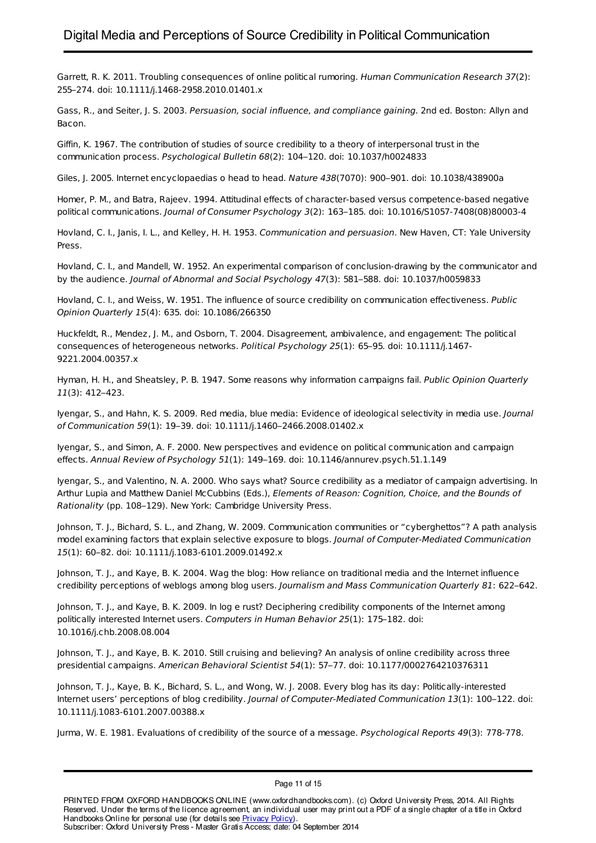Garrett, R. K. 2011. Troubling consequences of online political rumoring. Human Communication Research 37(2): 255–274. doi: 10.1111/j.1468-2958.2010.01401.x

Gass, R., and Seiter, J. S. 2003. Persuasion, social influence, and compliance gaining. 2nd ed. Boston: Allyn and Bacon.

Giffin, K. 1967. The contribution of studies of source credibility to a theory of interpersonal trust in the communication process. Psychological Bulletin 68(2): 104–120. doi: 10.1037/h0024833

Giles, J. 2005. Internet encyclopaedias o head to head. Nature 438(7070): 900–901. doi: 10.1038/438900a

Homer, P. M., and Batra, Rajeev. 1994. Attitudinal effects of character-based versus competence-based negative political communications. Journal of Consumer Psychology 3(2): 163–185. doi: 10.1016/S1057-7408(08)80003-4

Hovland, C. I., Janis, I. L., and Kelley, H. H. 1953. Communication and persuasion. New Haven, CT: Yale University **Press** 

Hovland, C. I., and Mandell, W. 1952. An experimental comparison of conclusion-drawing by the communicator and by the audience. Journal of Abnormal and Social Psychology 47(3): 581–588. doi: 10.1037/h0059833

Hovland, C. I., and Weiss, W. 1951. The influence of source credibility on communication effectiveness. Public Opinion Quarterly 15(4): 635. doi: 10.1086/266350

Huckfeldt, R., Mendez, J. M., and Osborn, T. 2004. Disagreement, ambivalence, and engagement: The political consequences of heterogeneous networks. Political Psychology 25(1): 65–95. doi: 10.1111/j.1467- 9221.2004.00357.x

Hyman, H. H., and Sheatsley, P. B. 1947. Some reasons why information campaigns fail. Public Opinion Quarterly 11(3): 412–423.

Iyengar, S., and Hahn, K. S. 2009. Red media, blue media: Evidence of ideological selectivity in media use. Journal of Communication 59(1): 19–39. doi: 10.1111/j.1460–2466.2008.01402.x

Iyengar, S., and Simon, A. F. 2000. New perspectives and evidence on political communication and campaign effects. Annual Review of Psychology 51(1): 149–169. doi: 10.1146/annurev.psych.51.1.149

Iyengar, S., and Valentino, N. A. 2000. Who says what? Source credibility as a mediator of campaign advertising. In Arthur Lupia and Matthew Daniel McCubbins (Eds.), Elements of Reason: Cognition, Choice, and the Bounds of Rationality (pp. 108–129). New York: Cambridge University Press.

Johnson, T. J., Bichard, S. L., and Zhang, W. 2009. Communication communities or "cyberghettos"? A path analysis model examining factors that explain selective exposure to blogs. Journal of Computer-Mediated Communication 15(1): 60–82. doi: 10.1111/j.1083-6101.2009.01492.x

Johnson, T. J., and Kaye, B. K. 2004. Wag the blog: How reliance on traditional media and the Internet influence credibility perceptions of weblogs among blog users. Journalism and Mass Communication Quarterly 81: 622–642.

Johnson, T. J., and Kaye, B. K. 2009. In log e rust? Deciphering credibility components of the Internet among politically interested Internet users. Computers in Human Behavior 25(1): 175–182. doi: 10.1016/j.chb.2008.08.004

Johnson, T. J., and Kaye, B. K. 2010. Still cruising and believing? An analysis of online credibility across three presidential campaigns. American Behavioral Scientist 54(1): 57–77. doi: 10.1177/0002764210376311

Johnson, T. J., Kaye, B. K., Bichard, S. L., and Wong, W. J. 2008. Every blog has its day: Politically-interested Internet users' perceptions of blog credibility. Journal of Computer-Mediated Communication 13(1): 100–122. doi: 10.1111/j.1083-6101.2007.00388.x

Jurma, W. E. 1981. Evaluations of credibility of the source of a message. Psychological Reports 49(3): 778-778.

Page 11 of 15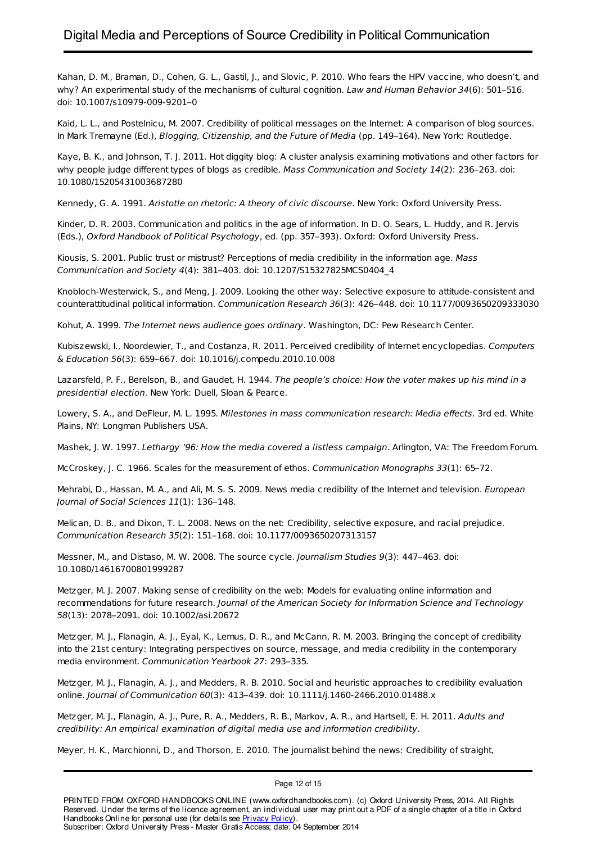Kahan, D. M., Braman, D., Cohen, G. L., Gastil, J., and Slovic, P. 2010. Who fears the HPV vaccine, who doesn't, and why? An experimental study of the mechanisms of cultural cognition. Law and Human Behavior 34(6): 501-516. doi: 10.1007/s10979-009-9201–0

Kaid, L. L., and Postelnicu, M. 2007. Credibility of political messages on the Internet: A comparison of blog sources. In Mark Tremayne (Ed.), Blogging, Citizenship, and the Future of Media (pp. 149–164). New York: Routledge.

Kaye, B. K., and Johnson, T. J. 2011. Hot diggity blog: A cluster analysis examining motivations and other factors for why people judge different types of blogs as credible. Mass Communication and Society 14(2): 236-263. doi: 10.1080/15205431003687280

Kennedy, G. A. 1991. Aristotle on rhetoric: A theory of civic discourse. New York: Oxford University Press.

Kinder, D. R. 2003. Communication and politics in the age of information. In D. O. Sears, L. Huddy, and R. Jervis (Eds.), Oxford Handbook of Political Psychology, ed. (pp. 357–393). Oxford: Oxford University Press.

Kiousis, S. 2001. Public trust or mistrust? Perceptions of media credibility in the information age. Mass Communication and Society 4(4): 381–403. doi: 10.1207/S15327825MCS0404\_4

Knobloch-Westerwick, S., and Meng, J. 2009. Looking the other way: Selective exposure to attitude-consistent and counterattitudinal political information. Communication Research 36(3): 426–448. doi: 10.1177/0093650209333030

Kohut, A. 1999. The Internet news audience goes ordinary. Washington, DC: Pew Research Center.

Kubiszewski, I., Noordewier, T., and Costanza, R. 2011. Perceived credibility of Internet encyclopedias. Computers & Education 56(3): 659–667. doi: 10.1016/j.compedu.2010.10.008

Lazarsfeld, P. F., Berelson, B., and Gaudet, H. 1944. The people's choice: How the voter makes up his mind in a presidential election. New York: Duell, Sloan & Pearce.

Lowery, S. A., and DeFleur, M. L. 1995. Milestones in mass communication research: Media effects. 3rd ed. White Plains, NY: Longman Publishers USA.

Mashek, J. W. 1997. Lethargy '96: How the media covered a listless campaign. Arlington, VA: The Freedom Forum.

McCroskey, J. C. 1966. Scales for the measurement of ethos. Communication Monographs 33(1): 65–72.

Mehrabi, D., Hassan, M. A., and Ali, M. S. S. 2009. News media credibility of the Internet and television. European Journal of Social Sciences 11(1): 136–148.

Melican, D. B., and Dixon, T. L. 2008. News on the net: Credibility, selective exposure, and racial prejudice. Communication Research 35(2): 151–168. doi: 10.1177/0093650207313157

Messner, M., and Distaso, M. W. 2008. The source cycle. Journalism Studies 9(3): 447–463. doi: 10.1080/14616700801999287

Metzger, M. J. 2007. Making sense of credibility on the web: Models for evaluating online information and recommendations for future research. Journal of the American Society for Information Science and Technology 58(13): 2078–2091. doi: 10.1002/asi.20672

Metzger, M. J., Flanagin, A. J., Eyal, K., Lemus, D. R., and McCann, R. M. 2003. Bringing the concept of credibility into the 21st century: Integrating perspectives on source, message, and media credibility in the contemporary media environment. Communication Yearbook 27: 293–335.

Metzger, M. J., Flanagin, A. J., and Medders, R. B. 2010. Social and heuristic approaches to credibility evaluation online. Journal of Communication 60(3): 413–439. doi: 10.1111/j.1460-2466.2010.01488.x

Metzger, M. J., Flanagin, A. J., Pure, R. A., Medders, R. B., Markov, A. R., and Hartsell, E. H. 2011. Adults and credibility: An empirical examination of digital media use and information credibility.

Meyer, H. K., Marchionni, D., and Thorson, E. 2010. The journalist behind the news: Credibility of straight,

PRINTED FROM OXFORD HANDBOOKS ONLINE (www.oxfordhandbooks.com). (c) Oxford University Press, 2014. All Rights Reserved. Under the terms of the licence agreement, an individual user may print out a PDF of a single chapter of a title in Oxford Handbooks Online for personal use (for details see Privacy Policy). Subscriber: Oxford University Press - Master Gratis Access; date: 04 September 2014

Page 12 of 15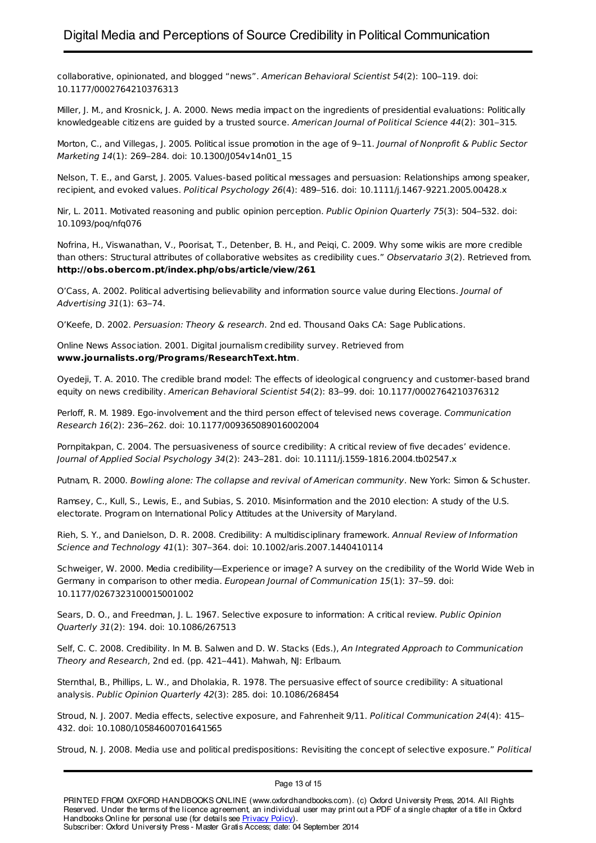collaborative, opinionated, and blogged "news". American Behavioral Scientist 54(2): 100–119. doi: 10.1177/0002764210376313

Miller, J. M., and Krosnick, J. A. 2000. News media impact on the ingredients of presidential evaluations: Politically knowledgeable citizens are guided by a trusted source. American Journal of Political Science 44(2): 301–315.

Morton, C., and Villegas, J. 2005. Political issue promotion in the age of 9-11. Journal of Nonprofit & Public Sector Marketing 14(1): 269-284. doi: 10.1300/J054v14n01\_15

Nelson, T. E., and Garst, J. 2005. Values-based political messages and persuasion: Relationships among speaker, recipient, and evoked values. Political Psychology 26(4): 489-516. doi: 10.1111/j.1467-9221.2005.00428.x

Nir, L. 2011. Motivated reasoning and public opinion perception. Public Opinion Quarterly 75(3): 504–532. doi: 10.1093/poq/nfq076

Nofrina, H., Viswanathan, V., Poorisat, T., Detenber, B. H., and Peiqi, C. 2009. Why some wikis are more credible than others: Structural attributes of collaborative websites as credibility cues." Observatario 3(2). Retrieved from. **http://obs.obercom.pt/index.php/obs/article/view/261**

O'Cass, A. 2002. Political advertising believability and information source value during Elections. Journal of Advertising 31(1): 63–74.

O'Keefe, D. 2002. Persuasion: Theory & research. 2nd ed. Thousand Oaks CA: Sage Publications.

Online News Association. 2001. Digital journalism credibility survey. Retrieved from **www.journalists.org/Programs/ResearchText.htm**.

Oyedeji, T. A. 2010. The credible brand model: The effects of ideological congruency and customer-based brand equity on news credibility. American Behavioral Scientist 54(2): 83–99. doi: 10.1177/0002764210376312

Perloff, R. M. 1989. Ego-involvement and the third person effect of televised news coverage. Communication Research 16(2): 236–262. doi: 10.1177/009365089016002004

Pornpitakpan, C. 2004. The persuasiveness of source credibility: A critical review of five decades' evidence. Journal of Applied Social Psychology 34(2): 243–281. doi: 10.1111/j.1559-1816.2004.tb02547.x

Putnam, R. 2000. Bowling alone: The collapse and revival of American community. New York: Simon & Schuster.

Ramsey, C., Kull, S., Lewis, E., and Subias, S. 2010. Misinformation and the 2010 election: A study of the U.S. electorate. Program on International Policy Attitudes at the University of Maryland.

Rieh, S. Y., and Danielson, D. R. 2008. Credibility: A multidisciplinary framework. Annual Review of Information Science and Technology 41(1): 307–364. doi: 10.1002/aris.2007.1440410114

Schweiger, W. 2000. Media credibility—Experience or image? A survey on the credibility of the World Wide Web in Germany in comparison to other media. European Journal of Communication 15(1): 37–59. doi: 10.1177/0267323100015001002

Sears, D. O., and Freedman, J. L. 1967. Selective exposure to information: A critical review. Public Opinion Quarterly 31(2): 194. doi: 10.1086/267513

Self, C. C. 2008. Credibility. In M. B. Salwen and D. W. Stacks (Eds.), An Integrated Approach to Communication Theory and Research, 2nd ed. (pp. 421–441). Mahwah, NJ: Erlbaum.

Sternthal, B., Phillips, L. W., and Dholakia, R. 1978. The persuasive effect of source credibility: A situational analysis. Public Opinion Quarterly 42(3): 285. doi: 10.1086/268454

Stroud, N. J. 2007. Media effects, selective exposure, and Fahrenheit 9/11. Political Communication 24(4): 415– 432. doi: 10.1080/10584600701641565

Stroud, N. J. 2008. Media use and political predispositions: Revisiting the concept of selective exposure." Political

Page 13 of 15

PRINTED FROM OXFORD HANDBOOKS ONLINE (www.oxfordhandbooks.com). (c) Oxford University Press, 2014. All Rights Reserved. Under the terms of the licence agreement, an individual user may print out a PDF of a single chapter of a title in Oxford Handbooks Online for personal use (for details see **Privacy Policy**). Subscriber: Oxford University Press - Master Gratis Access; date: 04 September 2014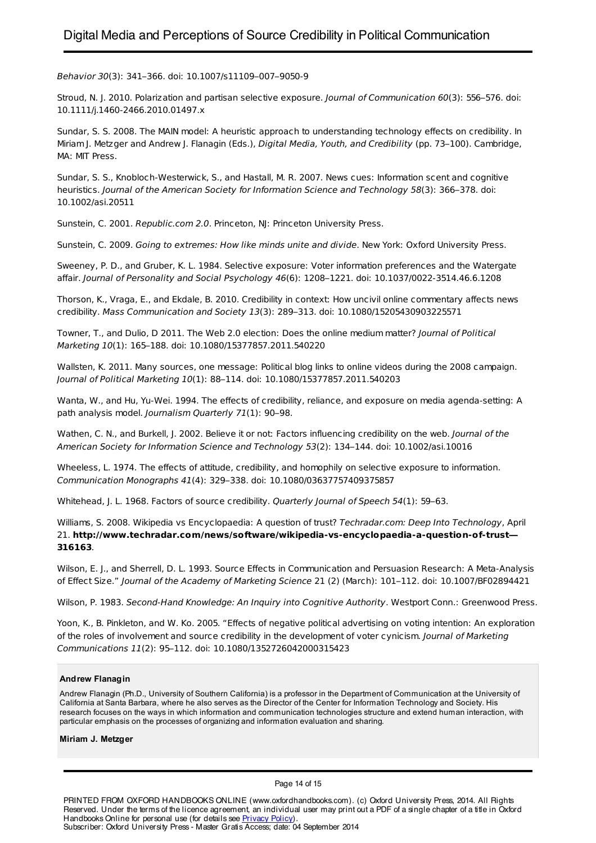Behavior 30(3): 341–366. doi: 10.1007/s11109–007–9050-9

Stroud, N. J. 2010. Polarization and partisan selective exposure. Journal of Communication 60(3): 556–576. doi: 10.1111/j.1460-2466.2010.01497.x

Sundar, S. S. 2008. The MAIN model: A heuristic approach to understanding technology effects on credibility. In Miriam J. Metzger and Andrew J. Flanagin (Eds.), Digital Media, Youth, and Credibility (pp. 73–100). Cambridge, MA: MIT Press.

Sundar, S. S., Knobloch-Westerwick, S., and Hastall, M. R. 2007. News cues: Information scent and cognitive heuristics. Journal of the American Society for Information Science and Technology 58(3): 366–378. doi: 10.1002/asi.20511

Sunstein, C. 2001. Republic.com 2.0. Princeton, NJ: Princeton University Press.

Sunstein, C. 2009. Going to extremes: How like minds unite and divide. New York: Oxford University Press.

Sweeney, P. D., and Gruber, K. L. 1984. Selective exposure: Voter information preferences and the Watergate affair. Journal of Personality and Social Psychology 46(6): 1208–1221. doi: 10.1037/0022-3514.46.6.1208

Thorson, K., Vraga, E., and Ekdale, B. 2010. Credibility in context: How uncivil online commentary affects news credibility. Mass Communication and Society 13(3): 289–313. doi: 10.1080/15205430903225571

Towner, T., and Dulio, D 2011. The Web 2.0 election: Does the online medium matter? Journal of Political Marketing 10(1): 165–188. doi: 10.1080/15377857.2011.540220

Wallsten, K. 2011. Many sources, one message: Political blog links to online videos during the 2008 campaign. Journal of Political Marketing 10(1): 88–114. doi: 10.1080/15377857.2011.540203

Wanta, W., and Hu, Yu-Wei. 1994. The effects of credibility, reliance, and exposure on media agenda-setting: A path analysis model. Journalism Quarterly 71(1): 90–98.

Wathen, C. N., and Burkell, I. 2002. Believe it or not: Factors influencing credibility on the web. Journal of the American Society for Information Science and Technology 53(2): 134–144. doi: 10.1002/asi.10016

Wheeless, L. 1974. The effects of attitude, credibility, and homophily on selective exposure to information. Communication Monographs 41(4): 329–338. doi: 10.1080/03637757409375857

Whitehead, J. L. 1968. Factors of source credibility. Quarterly Journal of Speech 54(1): 59-63.

Williams, S. 2008. Wikipedia vs Encyclopaedia: A question of trust? Techradar.com: Deep Into Technology, April 21. **http://www.techradar.com/news/software/wikipedia-vs-encyclopaedia-a-question-of-trust— 316163**.

Wilson, E. J., and Sherrell, D. L. 1993. Source Effects in Communication and Persuasion Research: A Meta-Analysis of Effect Size." Journal of the Academy of Marketing Science 21 (2) (March): 101–112. doi: 10.1007/BF02894421

Wilson, P. 1983. Second-Hand Knowledge: An Inquiry into Cognitive Authority. Westport Conn.: Greenwood Press.

Yoon, K., B. Pinkleton, and W. Ko. 2005. "Effects of negative political advertising on voting intention: An exploration of the roles of involvement and source credibility in the development of voter cynicism. Journal of Marketing Communications 11(2): 95–112. doi: 10.1080/1352726042000315423

#### **Andrew Flanagin**

Andrew Flanagin (Ph.D., University of Southern California) is a professor in the Department of Communication at the University of California at Santa Barbara, where he also serves as the Director of the Center for Information Technology and Society. His research focuses on the ways in which information and communication technologies structure and extend human interaction, with particular emphasis on the processes of organizing and information evaluation and sharing.

#### **Miriam J. Metzger**

Page 14 of 15

PRINTED FROM OXFORD HANDBOOKS ONLINE (www.oxfordhandbooks.com). (c) Oxford University Press, 2014. All Rights Reserved. Under the terms of the licence agreement, an individual user may print out a PDF of a single chapter of a title in Oxford Handbooks Online for personal use (for details see Privacy Policy). Subscriber: Oxford University Press - Master Gratis Access; date: 04 September 2014